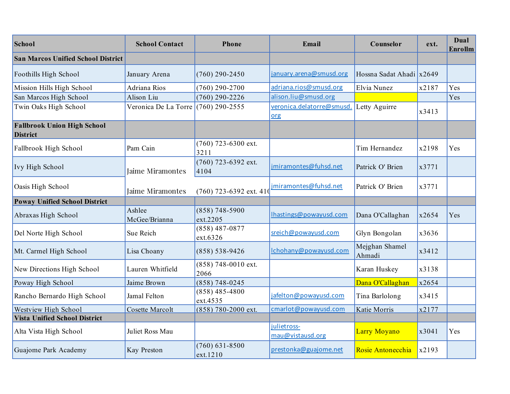| School                                                | <b>School Contact</b>   | <b>Phone</b>                  | Email                            | Counselor                | ext.  | Dual<br><b>Enrollm</b> |
|-------------------------------------------------------|-------------------------|-------------------------------|----------------------------------|--------------------------|-------|------------------------|
| <b>San Marcos Unified School District</b>             |                         |                               |                                  |                          |       |                        |
| Foothills High School                                 | January Arena           | $(760)$ 290-2450              | january.arena@smusd.org          | Hossna Sadat Ahadi x2649 |       |                        |
| Mission Hills High School                             | Adriana Rios            | $(760)$ 290-2700              | adriana.rios@smusd.org           | Elvia Nunez              | x2187 | Yes                    |
| San Marcos High School                                | Alison Liu              | $(760)$ 290-2226              | alison.liu@smusd.org             |                          |       | Yes                    |
| Twin Oaks High School                                 | Veronica De La Torre    | $(760)$ 290-2555              | veronica.delatorre@smusd.<br>org | Letty Aguirre            | x3413 |                        |
| <b>Fallbrook Union High School</b><br><b>District</b> |                         |                               |                                  |                          |       |                        |
| Fallbrook High School                                 | Pam Cain                | $(760)$ 723-6300 ext.<br>3211 |                                  | Tim Hernandez            | x2198 | Yes                    |
| Ivy High School                                       | Jaime Miramontes        | (760) 723-6392 ext.<br>4104   | jmiramontes@fuhsd.net            | Patrick O' Brien         | x3771 |                        |
| Oasis High School                                     | Jaime Miramontes        | $(760)$ 723-6392 ext. 410     | jmiramontes@fuhsd.net            | Patrick O' Brien         | x3771 |                        |
| <b>Poway Unified School District</b>                  |                         |                               |                                  |                          |       |                        |
| Abraxas High School                                   | Ashlee<br>McGee/Brianna | $(858)$ 748-5900<br>ext.2205  | Ihastings@powayusd.com           | Dana O'Callaghan         | x2654 | Yes                    |
| Del Norte High School                                 | Sue Reich               | $(858)$ 487-0877<br>ext.6326  | sreich@powayusd.com              | Glyn Bongolan            | x3636 |                        |
| Mt. Carmel High School                                | Lisa Choany             | $(858) 538 - 9426$            | Ichohany@powayusd.com            | Mejghan Shamel<br>Ahmadi | x3412 |                        |
| New Directions High School                            | Lauren Whitfield        | $(858)$ 748-0010 ext.<br>2066 |                                  | Karan Huskey             | x3138 |                        |
| Poway High School                                     | Jaime Brown             | $(858)$ 748-0245              |                                  | Dana O'Callaghan         | x2654 |                        |
| Rancho Bernardo High School                           | Jamal Felton            | $(858)$ 485-4800<br>ext.4535  | jafelton@powayusd.com            | Tina Barlolong           | x3415 |                        |
| Westview High School                                  | <b>Cosette Marcolt</b>  | (858) 780-2000 ext.           | cmarlot@powayusd.com             | Katie Morris             | x2177 |                        |
| <b>Vista Unified School District</b>                  |                         |                               |                                  |                          |       |                        |
| Alta Vista High School                                | Juliet Ross Mau         |                               | julietross-<br>mau@vistausd.org  | Larry Moyano             | x3041 | Yes                    |
| Guajome Park Academy                                  | Kay Preston             | $(760)$ 631-8500<br>ext.1210  | prestonka@guajome.net            | Rosie Antonecchia        | x2193 |                        |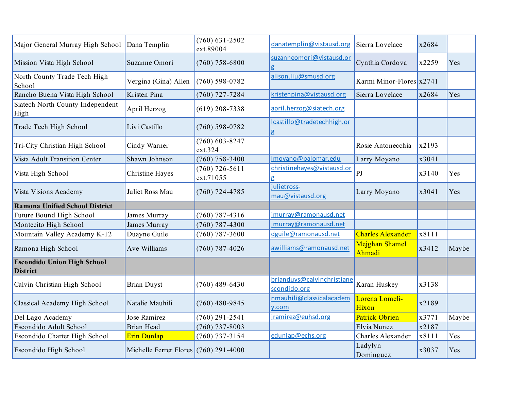| Major General Murray High School                      | Dana Templin                            | $(760)$ 631-2502<br>ext.89004 | danatemplin@vistausd.org                   | Sierra Lovelace            | x2684 |       |
|-------------------------------------------------------|-----------------------------------------|-------------------------------|--------------------------------------------|----------------------------|-------|-------|
| Mission Vista High School                             | Suzanne Omori                           | $(760)$ 758-6800              | suzanneomori@vistausd.or<br>g              | Cynthia Cordova            | x2259 | Yes   |
| North County Trade Tech High<br>School                | Vergina (Gina) Allen                    | $(760)$ 598-0782              | alison.liu@smusd.org                       | Karmi Minor-Flores $x2741$ |       |       |
| Rancho Buena Vista High School                        | Kristen Pina                            | $(760)$ 727-7284              | kristenpina@vistausd.org                   | Sierra Lovelace            | x2684 | Yes   |
| Siatech North County Independent<br>High              | April Herzog                            | $(619)$ 208-7338              | april.herzog@siatech.org                   |                            |       |       |
| Trade Tech High School                                | Livi Castillo                           | $(760)$ 598-0782              | lcastillo@tradetechhigh.or<br>g            |                            |       |       |
| Tri-City Christian High School                        | Cindy Warner                            | $(760) 603 - 8247$<br>ext.324 |                                            | Rosie Antonecchia          | x2193 |       |
| <b>Vista Adult Transition Center</b>                  | Shawn Johnson                           | $(760)$ 758-3400              | Imoyano@palomar.edu                        | Larry Moyano               | x3041 |       |
| Vista High School                                     | <b>Christine Hayes</b>                  | $(760)$ 726-5611<br>ext.71055 | christinehayes@vistausd.or<br>g            | P <sub>J</sub>             | x3140 | Yes   |
| Vista Visions Academy                                 | Juliet Ross Mau                         | $(760)$ 724-4785              | julietross-<br>mau@vistausd.org            | Larry Moyano               | x3041 | Yes   |
| <b>Ramona Unified School District</b>                 |                                         |                               |                                            |                            |       |       |
| Future Bound High School                              | James Murray                            | $(760)$ 787-4316              | jmurray@ramonausd.net                      |                            |       |       |
| Montecito High School                                 | James Murray                            | $(760)$ 787-4300              | jmurray@ramonausd.net                      |                            |       |       |
| Mountain Valley Academy K-12                          | Duayne Guile                            | $(760)$ 787-3600              | dguile@ramonausd.net                       | <b>Charles Alexander</b>   | x8111 |       |
| Ramona High School                                    | Ave Williams                            | $(760)$ 787-4026              | awilliams@ramonausd.net                    | Mejghan Shamel<br>Ahmadi   | x3412 | Maybe |
| <b>Escondido Union High School</b><br><b>District</b> |                                         |                               |                                            |                            |       |       |
| Calvin Christian High School                          | <b>Brian Duyst</b>                      | $(760)$ 489-6430              | brianduys@calvinchristiane<br>scondido.org | Karan Huskey               | x3138 |       |
| Classical Academy High School                         | Natalie Mauhili                         | $(760)$ 480-9845              | nmauhili@classicalacadem<br>y.com          | Lorena Lomeli-<br>Hixon    | x2189 |       |
| Del Lago Academy                                      | Jose Ramirez                            | $(760)$ 291-2541              | jramirez@euhsd.org                         | <b>Patrick Obrien</b>      | x3771 | Maybe |
| Escondido Adult School                                | <b>Brian Head</b>                       | $(760)$ 737-8003              |                                            | Elvia Nunez                | x2187 |       |
| Escondido Charter High School                         | Erin Dunlap                             | $(760)$ 737-3154              | edunlap@echs.org                           | Charles Alexander          | x8111 | Yes   |
| Escondido High School                                 | Michelle Ferrer Flores $(760)$ 291-4000 |                               |                                            | Ladylyn<br>Dominguez       | x3037 | Yes   |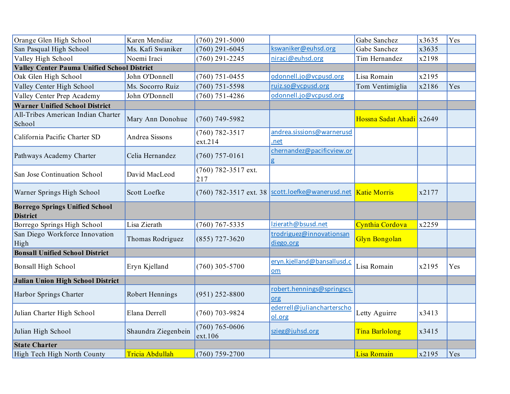| Orange Glen High School                                  | Karen Mendiaz       | $(760)$ 291-5000              |                                                    | Gabe Sanchez             | x3635 | Yes |
|----------------------------------------------------------|---------------------|-------------------------------|----------------------------------------------------|--------------------------|-------|-----|
| San Pasqual High School                                  | Ms. Kafi Swaniker   | $(760)$ 291-6045              | kswaniker@euhsd.org                                | Gabe Sanchez             | x3635 |     |
| Valley High School                                       | Noemi Iraci         | $(760)$ 291-2245              | niraci@euhsd.org                                   | Tim Hernandez            | x2198 |     |
| <b>Valley Center Pauma Unified School District</b>       |                     |                               |                                                    |                          |       |     |
| Oak Glen High School                                     | John O'Donnell      | $(760)$ 751-0455              | odonnell.jo@vcpusd.org                             | Lisa Romain              | x2195 |     |
| Valley Center High School                                | Ms. Socorro Ruiz    | $(760)$ 751-5598              | ruiz.so@vcpusd.org                                 | Tom Ventimiglia          | x2186 | Yes |
| Valley Center Prep Academy                               | John O'Donnell      | $(760)$ 751-4286              | odonnell.jo@vcpusd.org                             |                          |       |     |
| <b>Warner Unified School District</b>                    |                     |                               |                                                    |                          |       |     |
| All-Tribes American Indian Charter<br>School             | Mary Ann Donohue    | $(760)$ 749-5982              |                                                    | Hossna Sadat Ahadi x2649 |       |     |
| California Pacific Charter SD                            | Andrea Sissons      | $(760) 782 - 3517$<br>ext.214 | andrea.sissions@warnerusd<br>.net                  |                          |       |     |
| Pathways Academy Charter                                 | Celia Hernandez     | $(760)$ 757-0161              | chernandez@pacificview.or<br>g                     |                          |       |     |
| San Jose Continuation School                             | David MacLeod       | (760) 782-3517 ext.<br>217    |                                                    |                          |       |     |
| Warner Springs High School                               | Scott Loefke        |                               | (760) 782-3517 ext. 38   scott.loefke@wanerusd.net | <b>Katie Morris</b>      | x2177 |     |
| <b>Borrego Springs Unified School</b><br><b>District</b> |                     |                               |                                                    |                          |       |     |
| Borrego Springs High School                              | Lisa Zierath        | $(760)$ 767-5335              | Izierath@bsusd.net                                 | Cynthia Cordova          | x2259 |     |
| San Diego Workforce Innovation<br>High                   | Thomas Rodriguez    | $(855)$ 727-3620              | trodriguez@innovationsan<br>diego.org              | <b>Glyn Bongolan</b>     |       |     |
| <b>Bonsall Unified School District</b>                   |                     |                               |                                                    |                          |       |     |
| <b>Bonsall High School</b>                               | Eryn Kjelland       | $(760)$ 305-5700              | eryn.kjelland@bansallusd.c<br>om                   | Lisa Romain              | x2195 | Yes |
| <b>Julian Union High School District</b>                 |                     |                               |                                                    |                          |       |     |
| Harbor Springs Charter                                   | Robert Hennings     | $(951)$ 252-8800              | robert.hennings@springscs.<br>org                  |                          |       |     |
| Julian Charter High School                               | Elana Derrell       | $(760)$ 703-9824              | ederrell@juliancharterscho<br>ol.org               | Letty Aguirre            | x3413 |     |
| Julian High School                                       | Shaundra Ziegenbein | $(760) 765 - 0606$<br>ext.106 | szieg@juhsd.org                                    | <b>Tina Barlolong</b>    | x3415 |     |
| <b>State Charter</b>                                     |                     |                               |                                                    |                          |       |     |
| High Tech High North County                              | Tricia Abdullah     | $(760)$ 759-2700              |                                                    | Lisa Romain              | x2195 | Yes |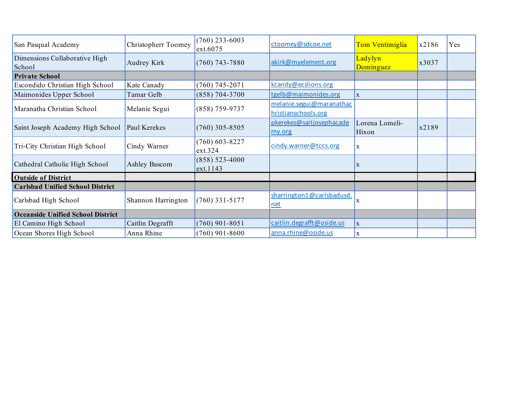| San Pasqual Academy                      | Christopherr Toomey  | $(760)$ 233-6003<br>ext.6075 | ctoomey@sdcoe.net         | Tom Ventimiglia      | x2186 | Yes |
|------------------------------------------|----------------------|------------------------------|---------------------------|----------------------|-------|-----|
| Dimensions Collaborative High<br>School  | Audrey Kirk          | $(760)$ 743-7880             | akirk@myelement.org       | Ladylyn<br>Dominguez | x3037 |     |
| <b>Private School</b>                    |                      |                              |                           |                      |       |     |
| Escondido Christian High School          | Kate Canady          | $(760)$ 745-2071             | kcandy@ecslions.org       |                      |       |     |
| Maimonides Upper School                  | Tamar Gelb           | $(858) 704 - 3700$           | tgelb@maimonides.org      | $\mathbf X$          |       |     |
|                                          | Melanie Segui        | $(858)$ 759-9737             | melanie.segui@maranathac  |                      |       |     |
| Maranatha Christian School               |                      |                              | hristianschools.org       |                      |       |     |
|                                          | Paul Kerekes         | $(760)$ 305-8505             | pkerekes@saitjosephacade  | Lorena Lomeli-       |       |     |
| Saint Joseph Academy High School         |                      |                              | my.org                    | Hixon                | x2189 |     |
|                                          | Cindy Warner         | $(760)$ 603-8227             | cindy.warner@tccs.org     | $\mathbf X$          |       |     |
| Tri-City Christian High School           |                      | ext.324                      |                           |                      |       |     |
| Cathedral Catholic High School           | <b>Ashley Bascom</b> | $(858) 523 - 4000$           |                           | X                    |       |     |
|                                          |                      | ext.1143                     |                           |                      |       |     |
| <b>Outside of District</b>               |                      |                              |                           |                      |       |     |
| <b>Carlsbad Unified School District</b>  |                      |                              |                           |                      |       |     |
| Carlsbad High School                     | Shannon Harrington   | $(760)$ 331-5177             | sharrington1@carlsbadusd. |                      |       |     |
|                                          |                      |                              | net                       | $\mathbf X$          |       |     |
| <b>Oceanside Unified School District</b> |                      |                              |                           |                      |       |     |
| El Camino High School                    | Caitlin Degrafft     | $(760)$ 901-8051             | caitlin.degrafft@oside.us | $\mathbf X$          |       |     |
| Ocean Shores High School                 | Anna Rhine           | $(760)$ 901-8600             | anna.rhine@oside.us       | X                    |       |     |